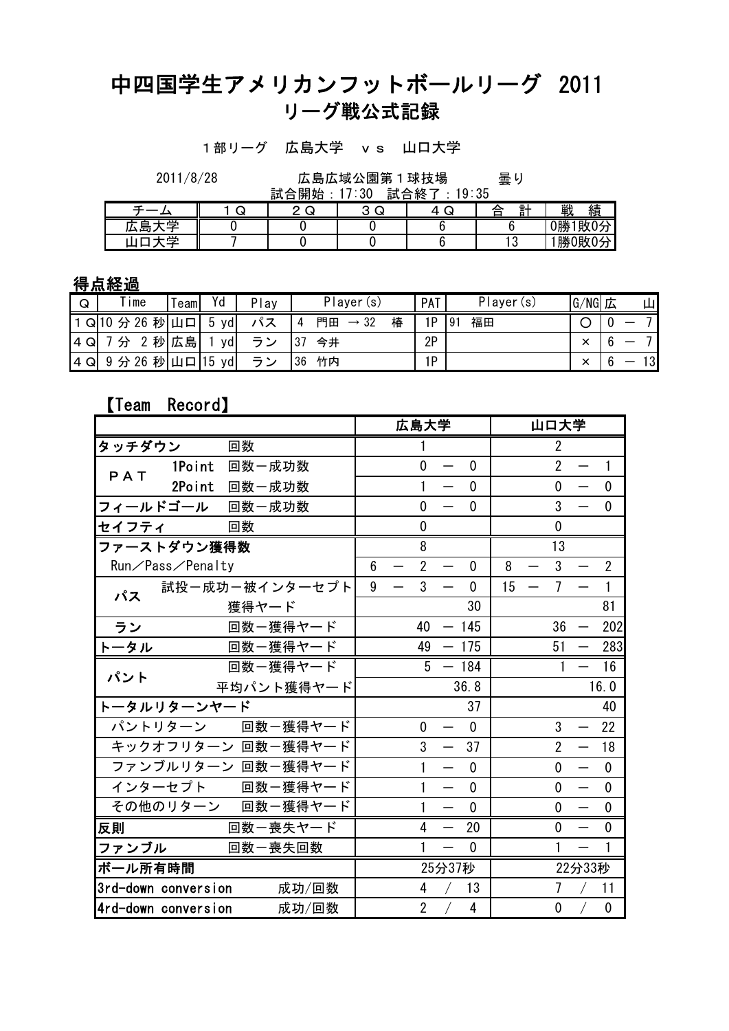## 中四国学生アメリカンフットボールリーグ 2011 リーグ戦公式記録

1部リーグ 広島大学 vs 山口大学

曇り 2011/8/28 広島広域公園第1球技場

|                   |   | 開始<br>≞—⊧.<br>▵<br>ū۰ | 試<br>$\cdot$ :30 | 終<br>9:35<br>▵<br>□ |                  |           |
|-------------------|---|-----------------------|------------------|---------------------|------------------|-----------|
|                   | س | ى<br>_                | ╭<br>⌒<br>ى<br>◡ | $\sim$<br><u>. </u> | 쒉<br>≙<br>ō<br>- | 戦<br>績    |
| 当<br>ᄅ<br>7<br>心云 |   |                       |                  |                     |                  | 0勝<br>敗0分 |
| 쓰                 |   |                       |                  |                     | £<br>، ب         | 勝0敗0分     |

## 得点経過

| $\mathsf Q$ | $\mathsf{r}$ ime | ieaml | Yd                  | Play | Player<br>(s)               | PAT | Player (s) | G/NG         | ШI<br>広 |
|-------------|------------------|-------|---------------------|------|-----------------------------|-----|------------|--------------|---------|
|             | Q 10 分 26        | 秒山口   | vd<br>ა             |      | 椿<br>門田<br>$\rightarrow$ 32 | 1P  | 福田<br>191  |              |         |
| 4Q          | 秒                | 広島    | yd                  | ≛    | 今井<br>O I                   | 2P  |            | $\checkmark$ |         |
| 14 Q        | 分 26<br>9        | 秒山口   | $ 15\rangle$<br>ydi | ≒ `  | 竹内<br>36                    | 1P  |            | $\checkmark$ | 13      |

## 【Team Record】

|                     |                  |                    |   |                          | 広島大学           |                          |              |    |                          | 山口大学           |                                  |                |
|---------------------|------------------|--------------------|---|--------------------------|----------------|--------------------------|--------------|----|--------------------------|----------------|----------------------------------|----------------|
| タッチダウン              |                  | 回数                 |   |                          | 1              |                          |              |    |                          | $\overline{2}$ |                                  |                |
| PAT                 | 1Point           | 回数一成功数             |   |                          | $\overline{0}$ | $\overline{\phantom{m}}$ | $\mathbf{0}$ |    |                          | $\overline{2}$ | $\overline{\phantom{m}}$         | $\mathbf{1}$   |
|                     | 2Point           | 回数一成功数             |   |                          | 1              |                          | $\mathbf{0}$ |    |                          | 0              |                                  | $\mathbf 0$    |
|                     |                  | フィールドゴール 回数一成功数    |   |                          | 0              |                          | $\mathbf 0$  |    |                          | 3              |                                  | $\mathbf 0$    |
| セイフティ               |                  | 回数                 |   |                          | $\mathbf 0$    |                          |              |    |                          | $\mathbf 0$    |                                  |                |
| ファーストダウン獲得数         |                  |                    |   |                          | 8              |                          |              |    |                          | 13             |                                  |                |
|                     | Run/Pass/Penalty |                    | 6 |                          | $\overline{2}$ | $\overline{\phantom{0}}$ | $\mathbf 0$  | 8  | $\overline{\phantom{0}}$ | 3              |                                  | $\overline{2}$ |
| パス                  |                  | 試投一成功一被インターセプト     | 9 | $\overline{\phantom{0}}$ | 3              | $\overline{\phantom{0}}$ | $\mathbf 0$  | 15 | $\overline{\phantom{m}}$ | 7              |                                  | $\mathbf{1}$   |
|                     |                  | 獲得ヤード              |   |                          |                |                          | 30           |    |                          |                |                                  | 81             |
| ラン                  |                  | 回数ー獲得ヤード           |   |                          | 40             |                          | $-145$       |    |                          | 36             |                                  | 202            |
| トータル                |                  | 回数一獲得ヤード           |   |                          | 49             |                          | $-175$       |    |                          | 51             |                                  | 283            |
| パント                 |                  | 回数一獲得ヤード           |   |                          | 5              |                          | $-184$       |    |                          | 1              |                                  | 16             |
|                     |                  | 平均パント獲得ヤード         |   |                          |                |                          | 36.8         |    |                          |                |                                  | 16.0           |
| トータルリターンヤード         |                  |                    |   |                          |                |                          | 37           |    |                          |                |                                  | 40             |
|                     |                  | パントリターン 回数一獲得ヤード   |   |                          | $\mathbf 0$    |                          | $\mathbf{0}$ |    |                          | 3              | $\overbrace{\phantom{12322111}}$ | 22             |
|                     |                  | キックオフリターン 回数一獲得ヤード |   |                          | 3              |                          | 37           |    |                          | $\overline{2}$ | $\overline{\phantom{0}}$         | 18             |
|                     |                  | ファンブルリターン 回数一獲得ヤード |   |                          | 1              | —                        | $\mathbf 0$  |    |                          | 0              | $\overline{\phantom{0}}$         | $\mathbf 0$    |
|                     |                  | インターセプト 回数一獲得ヤード   |   |                          | $\mathbf{1}$   | $\overline{\phantom{0}}$ | $\mathbf{0}$ |    |                          | $\mathbf{0}$   | $\overline{\phantom{0}}$         | $\mathbf 0$    |
|                     |                  | その他のリターン 回数一獲得ヤード  |   |                          | 1              | —                        | $\mathbf{0}$ |    |                          | 0              | $\overline{\phantom{0}}$         | $\mathbf 0$    |
| 反則                  |                  | 回数一喪失ヤード           |   |                          | 4              | $\overline{\phantom{0}}$ | 20           |    |                          | 0              |                                  | $\mathbf 0$    |
| ファンブル               |                  | 回数一喪失回数            |   |                          | 1              | —                        | $\mathbf 0$  |    |                          |                |                                  | 1              |
| ボール所有時間             |                  |                    |   |                          |                | 25分37秒                   |              |    |                          |                | 22分33秒                           |                |
| 3rd-down conversion |                  | 成功/回数              |   |                          | 4              |                          | 13           |    |                          | 7              |                                  | 11             |
| 4rd-down conversion |                  | 成功/回数              |   |                          | $\overline{2}$ |                          | 4            |    |                          | 0              |                                  | 0              |